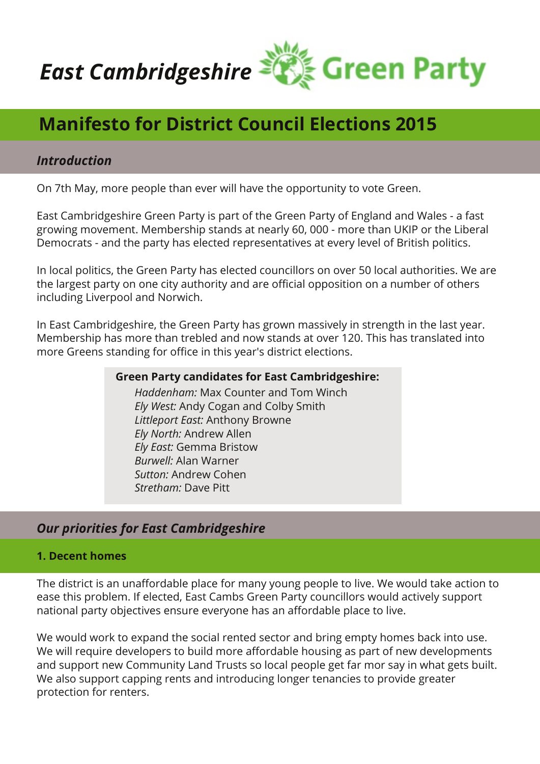

# **Manifesto for District Council Elections 2015**

## *Introduction*

On 7th May, more people than ever will have the opportunity to vote Green.

East Cambridgeshire Green Party is part of the Green Party of England and Wales - a fast growing movement. Membership stands at nearly 60, 000 - more than UKIP or the Liberal Democrats - and the party has elected representatives at every level of British politics.

In local politics, the Green Party has elected councillors on over 50 local authorities. We are the largest party on one city authority and are official opposition on a number of others including Liverpool and Norwich.

In East Cambridgeshire, the Green Party has grown massively in strength in the last year. Membership has more than trebled and now stands at over 120. This has translated into more Greens standing for office in this year's district elections.

#### **Green Party candidates for East Cambridgeshire:**

*Haddenham:* Max Counter and Tom Winch *Ely West:* Andy Cogan and Colby Smith *Littleport East:* Anthony Browne *Ely North:* Andrew Allen *Ely East:* Gemma Bristow *Burwell:* Alan Warner *Sutton:* Andrew Cohen *Stretham:* Dave Pitt

## *Our priorities for East Cambridgeshire*

### **1. Decent homes**

The district is an unaffordable place for many young people to live. We would take action to ease this problem. If elected, East Cambs Green Party councillors would actively support national party objectives ensure everyone has an affordable place to live.

We would work to expand the social rented sector and bring empty homes back into use. We will require developers to build more affordable housing as part of new developments and support new Community Land Trusts so local people get far mor say in what gets built. We also support capping rents and introducing longer tenancies to provide greater protection for renters.